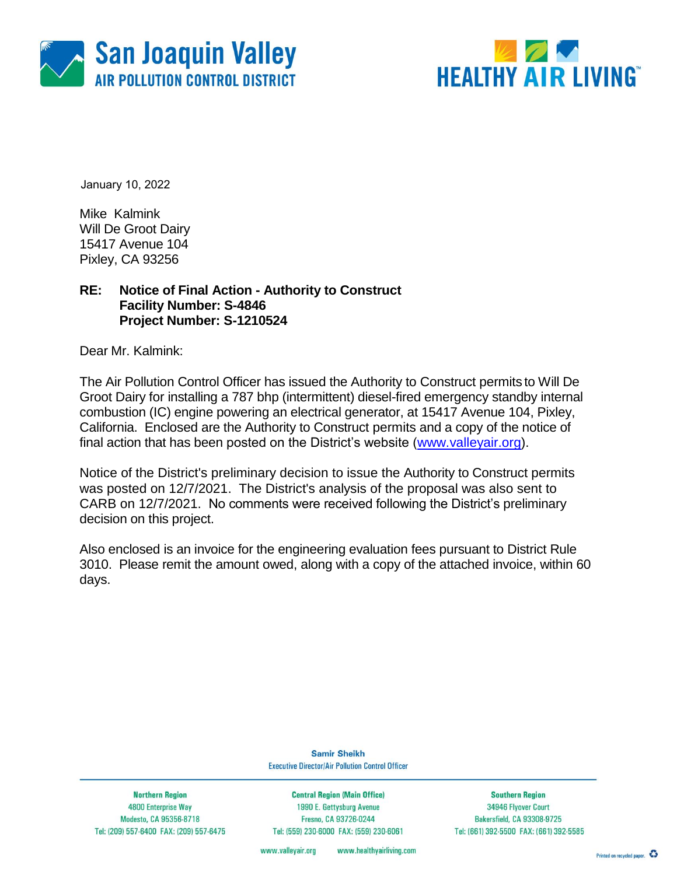



January 10, 2022

Mike Kalmink Will De Groot Dairy 15417 Avenue 104 Pixley, CA 93256

### **RE: Notice of Final Action - Authority to Construct Facility Number: S-4846 Project Number: S-1210524**

Dear Mr. Kalmink:

The Air Pollution Control Officer has issued the Authority to Construct permits to Will De Groot Dairy for installing a 787 bhp (intermittent) diesel-fired emergency standby internal combustion (IC) engine powering an electrical generator, at 15417 Avenue 104, Pixley, California. Enclosed are the Authority to Construct permits and a copy of the notice of final action that has been posted on the District's website [\(www.valleyair.org\)](http://www.valleyair.org/).

Notice of the District's preliminary decision to issue the Authority to Construct permits was posted on 12/7/2021. The District's analysis of the proposal was also sent to CARB on 12/7/2021. No comments were received following the District's preliminary decision on this project.

Also enclosed is an invoice for the engineering evaluation fees pursuant to District Rule 3010. Please remit the amount owed, along with a copy of the attached invoice, within 60 days.

> **Samir Sheikh Executive Director/Air Pollution Control Officer**

**Northern Region** 4800 Enterprise Way Modesto, CA 95356-8718 Tel: (209) 557-6400 FAX: (209) 557-6475

**Central Region (Main Office)** 1990 E. Gettysburg Avenue Fresno, CA 93726-0244 Tel: (559) 230-6000 FAX: (559) 230-6061

**Southern Region** 34946 Flyover Court Bakersfield, CA 93308-9725 Tel: (661) 392-5500 FAX: (661) 392-5585

www.valleyair.org www.healthyairliving.com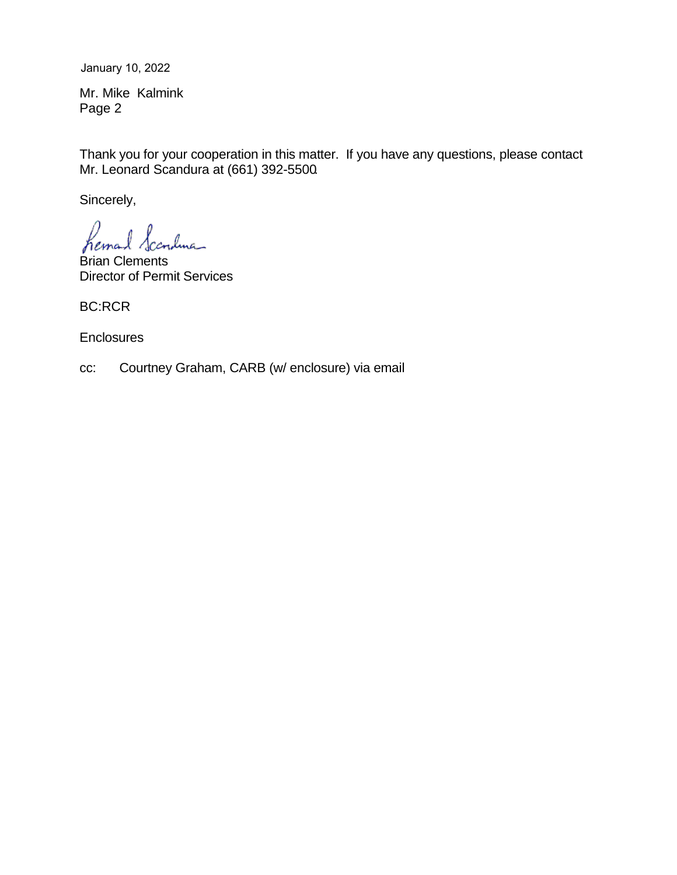January 10, 2022

Mr. Mike Kalmink Page 2

Thank you for your cooperation in this matter. If you have any questions, please contact Mr. Leonard Scandura at (661) 392-5500.

Sincerely,

hema Canduna

Brian Clements Director of Permit Services

BC:RCR

**Enclosures** 

cc: Courtney Graham, CARB (w/ enclosure) via email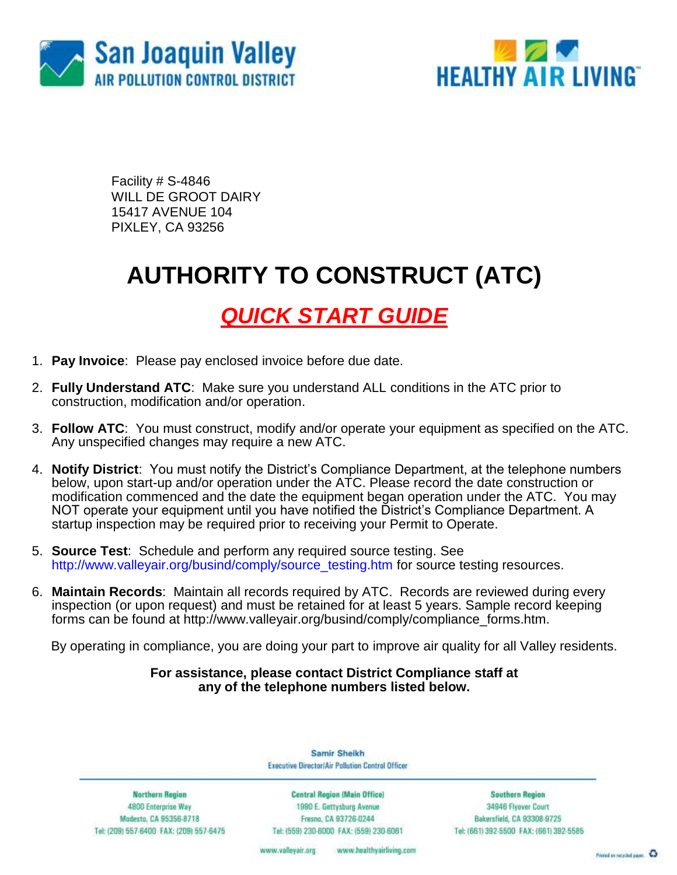



Facility # S-4846 WILL DE GROOT DAIRY 15417 AVENUE 104 PIXLEY, CA 93256

# **AUTHORITY TO CONSTRUCT (ATC)**

### *QUICK START GUIDE*

- 1. **Pay Invoice**: Please pay enclosed invoice before due date.
- 2. **Fully Understand ATC**: Make sure you understand ALL conditions in the ATC prior to construction, modification and/or operation.
- 3. **Follow ATC**: You must construct, modify and/or operate your equipment as specified on the ATC. Any unspecified changes may require a new ATC.
- 4. **Notify District**: You must notify the District's Compliance Department, at the telephone numbers below, upon start-up and/or operation under the ATC. Please record the date construction or modification commenced and the date the equipment began operation under the ATC. You may NOT operate your equipment until you have notified the District's Compliance Department. A startup inspection may be required prior to receiving your Permit to Operate.
- 5. **Source Test**: Schedule and perform any required source testing. See [http://www.valleyair.org/busind/comply/source\\_testing.htm](http://www.valleyair.org/busind/comply/source_testing.htm) for source testing resources.
- 6. **Maintain Records**:Maintain all records required by ATC. Records are reviewed during every inspection (or upon request) and must be retained for at least 5 years. Sample record keeping forms can be found at http://www.valleyair.org/busind/comply/compliance\_forms.htm.

By operating in compliance, you are doing your part to improve air quality for all Valley residents.

#### **For assistance, please contact District Compliance staff at any of the telephone numbers listed below.**

Samir Sheikh Executive Director/Air Pollution Control Officer

**Northern Region** 4800 Enterprise Way Modesto, CA 95356-8718 Tel: (209) 557-6400 FAX: (209) 557-6475

Central Region (Main Office) 1990 E. Gettysburg Avenue Fresna, CA 93726-0244 Tel: (559) 230-6000 FAX: (559) 230-6061

**Southern Region** 34946 Flyover Court Bakersfield, CA 93308-9725 Tel: (661) 392-5500 FAX: (661) 392-5585

www.bealthyairliving.com www.valleyair.org

Preced on recycled paper. 43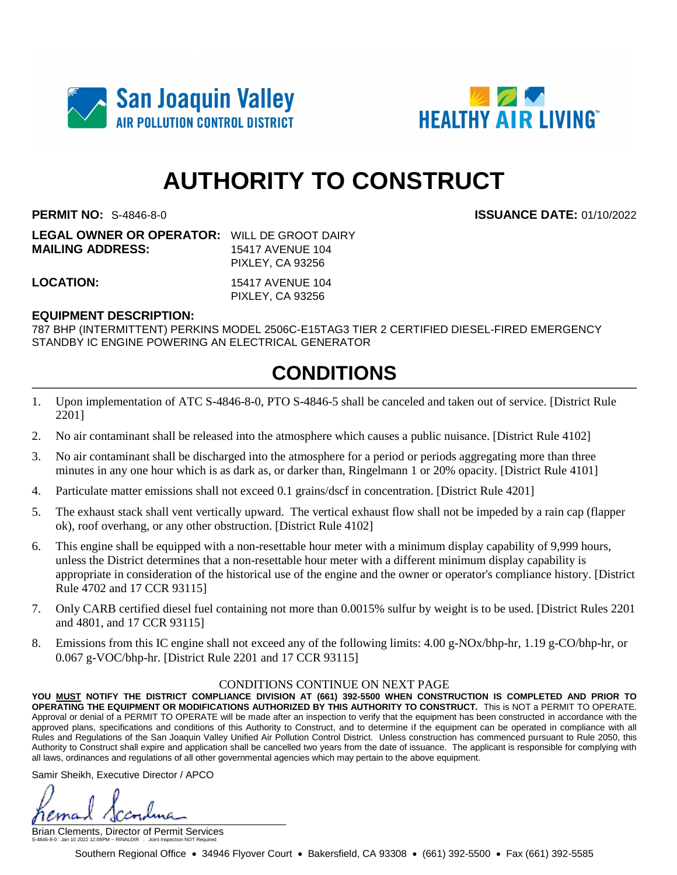



# **AUTHORITY TO CONSTRUCT**

**PERMIT NO:** S-4846-8-0 **ISSUANCE DATE:** 01/10/2022

| <b>LEGAL OWNER OR OPERATOR: WILL DE GROOT DAIRY</b> |                         |
|-----------------------------------------------------|-------------------------|
| <b>MAILING ADDRESS:</b>                             | 15417 AVENUE 104        |
|                                                     | <b>PIXLEY, CA 93256</b> |
| LOCATION:                                           | 15417 AVENUE 104        |

PIXLEY, CA 93256

### **EQUIPMENT DESCRIPTION:**

787 BHP (INTERMITTENT) PERKINS MODEL 2506C-E15TAG3 TIER 2 CERTIFIED DIESEL-FIRED EMERGENCY STANDBY IC ENGINE POWERING AN ELECTRICAL GENERATOR

### **CONDITIONS**

- 1. Upon implementation of ATC S-4846-8-0, PTO S-4846-5 shall be canceled and taken out of service. [District Rule 2201]
- 2. No air contaminant shall be released into the atmosphere which causes a public nuisance. [District Rule 4102]
- 3. No air contaminant shall be discharged into the atmosphere for a period or periods aggregating more than three minutes in any one hour which is as dark as, or darker than, Ringelmann 1 or 20% opacity. [District Rule 4101]
- 4. Particulate matter emissions shall not exceed 0.1 grains/dscf in concentration. [District Rule 4201]
- 5. The exhaust stack shall vent vertically upward. The vertical exhaust flow shall not be impeded by a rain cap (flapper ok), roof overhang, or any other obstruction. [District Rule 4102]
- 6. This engine shall be equipped with a non-resettable hour meter with a minimum display capability of 9,999 hours, unless the District determines that a non-resettable hour meter with a different minimum display capability is appropriate in consideration of the historical use of the engine and the owner or operator's compliance history. [District Rule 4702 and 17 CCR 93115]
- 7. Only CARB certified diesel fuel containing not more than 0.0015% sulfur by weight is to be used. [District Rules 2201 and 4801, and 17 CCR 93115]
- 8. Emissions from this IC engine shall not exceed any of the following limits: 4.00 g-NOx/bhp-hr, 1.19 g-CO/bhp-hr, or 0.067 g-VOC/bhp-hr. [District Rule 2201 and 17 CCR 93115]

#### CONDITIONS CONTINUE ON NEXT PAGE

**YOU MUST NOTIFY THE DISTRICT COMPLIANCE DIVISION AT (661) 392-5500 WHEN CONSTRUCTION IS COMPLETED AND PRIOR TO OPERATING THE EQUIPMENT OR MODIFICATIONS AUTHORIZED BY THIS AUTHORITY TO CONSTRUCT.** This is NOT a PERMIT TO OPERATE. Approval or denial of a PERMIT TO OPERATE will be made after an inspection to verify that the equipment has been constructed in accordance with the approved plans, specifications and conditions of this Authority to Construct, and to determine if the equipment can be operated in compliance with all Rules and Regulations of the San Joaquin Valley Unified Air Pollution Control District. Unless construction has commenced pursuant to Rule 2050, this Authority to Construct shall expire and application shall be cancelled two years from the date of issuance. The applicant is responsible for complying with all laws, ordinances and regulations of all other governmental agencies which may pertain to the above equipment.

Samir Sheikh, Executive Director / APCO

 $\mu$ 

Brian Clements, Director of Permit Services S-4846-8-0 : Jan 10 2022 12:08PM -- RINALDIR : Joint Inspection NOT Required

Southern Regional Office • 34946 Flyover Court • Bakersfield, CA 93308 • (661) 392-5500 • Fax (661) 392-5585